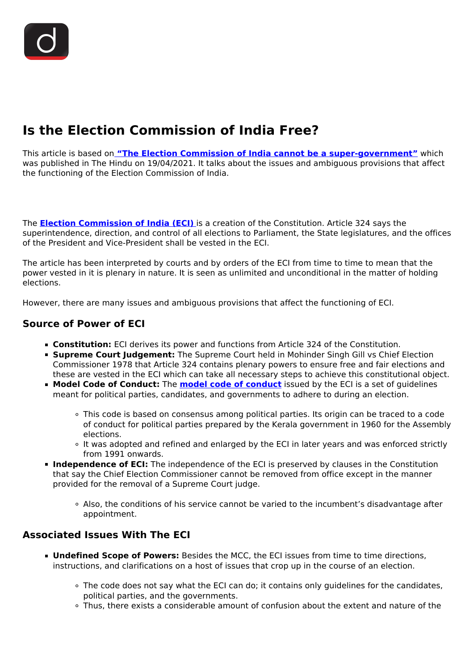# **Is the Election Commission of India Free?**

This article is based on **["The Election Commission of India cannot be a super-government"](https://www.thehindu.com/opinion/lead/the-eci-cannot-be-a-super-government/article34353019.ece)** which was published in The Hindu on 19/04/2021. It talks about the issues and ambiguous provisions that affect the functioning of the Election Commission of India.

The **[Election Commission of India \(ECI\)](/important-institutions/drishti-specials-important-institutions-national-institutions/election-commission-of-india)** is a creation of the Constitution. Article 324 says the superintendence, direction, and control of all elections to Parliament, the State legislatures, and the offices of the President and Vice-President shall be vested in the ECI.

The article has been interpreted by courts and by orders of the ECI from time to time to mean that the power vested in it is plenary in nature. It is seen as unlimited and unconditional in the matter of holding elections.

However, there are many issues and ambiguous provisions that affect the functioning of ECI.

## **Source of Power of ECI**

- **Constitution:** ECI derives its power and functions from Article 324 of the Constitution.
- **Supreme Court Judgement:** The Supreme Court held in Mohinder Singh Gill vs Chief Election Commissioner 1978 that Article 324 contains plenary powers to ensure free and fair elections and these are vested in the ECI which can take all necessary steps to achieve this constitutional object.
- **Model Code of Conduct:** The **[model code of conduct](/daily-updates/daily-news-analysis/model-code-of-conduct-1)** issued by the ECI is a set of quidelines meant for political parties, candidates, and governments to adhere to during an election.
	- This code is based on consensus among political parties. Its origin can be traced to a code of conduct for political parties prepared by the Kerala government in 1960 for the Assembly elections.
	- o It was adopted and refined and enlarged by the ECI in later years and was enforced strictly from 1991 onwards.
- **Independence of ECI:** The independence of the ECI is preserved by clauses in the Constitution that say the Chief Election Commissioner cannot be removed from office except in the manner provided for the removal of a Supreme Court judge.
	- Also, the conditions of his service cannot be varied to the incumbent's disadvantage after appointment.

## **Associated Issues With The ECI**

- **Undefined Scope of Powers:** Besides the MCC, the ECI issues from time to time directions, instructions, and clarifications on a host of issues that crop up in the course of an election.
	- The code does not say what the ECI can do; it contains only guidelines for the candidates, political parties, and the governments.
	- Thus, there exists a considerable amount of confusion about the extent and nature of the